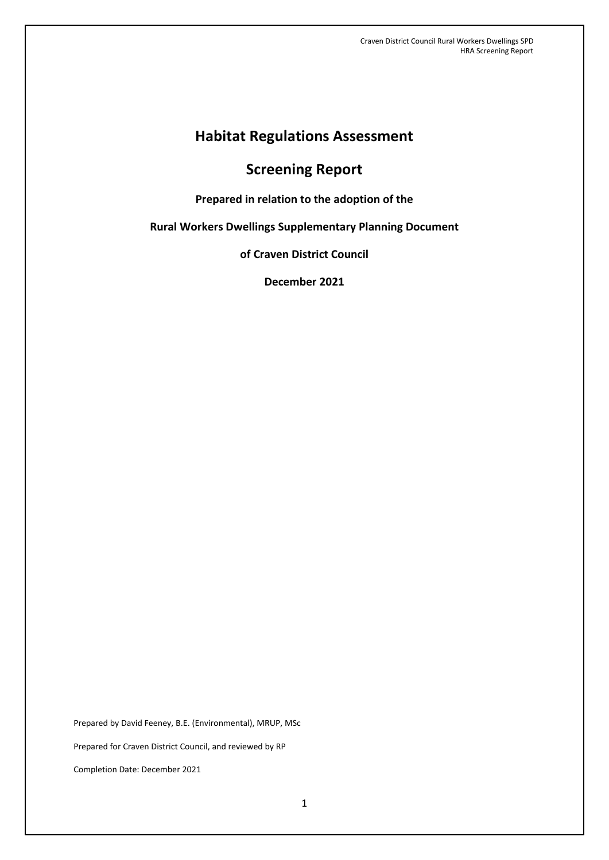# **Habitat Regulations Assessment**

# **Screening Report**

**Prepared in relation to the adoption of the** 

**Rural Workers Dwellings Supplementary Planning Document**

**of Craven District Council**

**December 2021**

Prepared by David Feeney, B.E. (Environmental), MRUP, MSc Prepared for Craven District Council, and reviewed by RP Completion Date: December 2021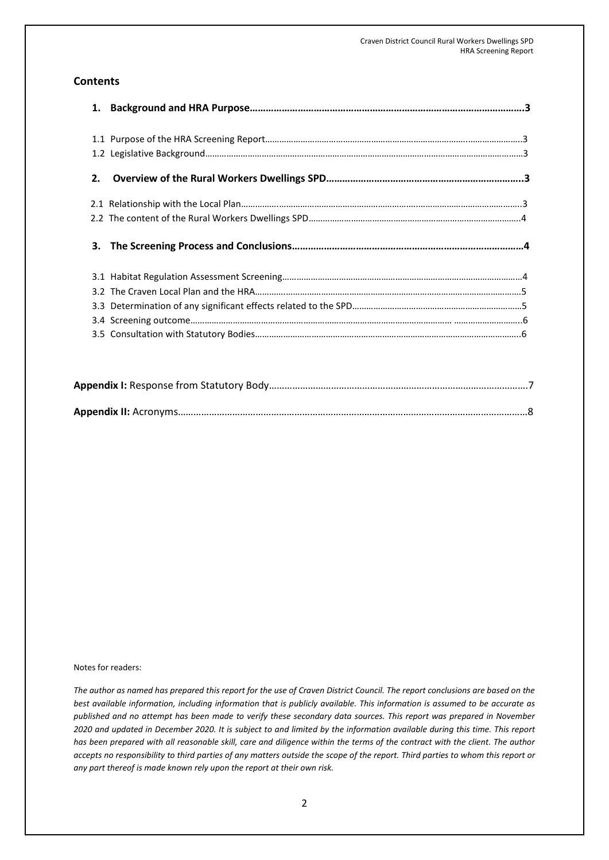## **Contents**

| 2. |  |
|----|--|
|    |  |
|    |  |
|    |  |
|    |  |
|    |  |
|    |  |
|    |  |
|    |  |
|    |  |

#### Notes for readers:

*The author as named has prepared this report for the use of Craven District Council. The report conclusions are based on the best available information, including information that is publicly available. This information is assumed to be accurate as published and no attempt has been made to verify these secondary data sources. This report was prepared in November 2020 and updated in December 2020. It is subject to and limited by the information available during this time. This report has been prepared with all reasonable skill, care and diligence within the terms of the contract with the client. The author accepts no responsibility to third parties of any matters outside the scope of the report. Third parties to whom this report or any part thereof is made known rely upon the report at their own risk.*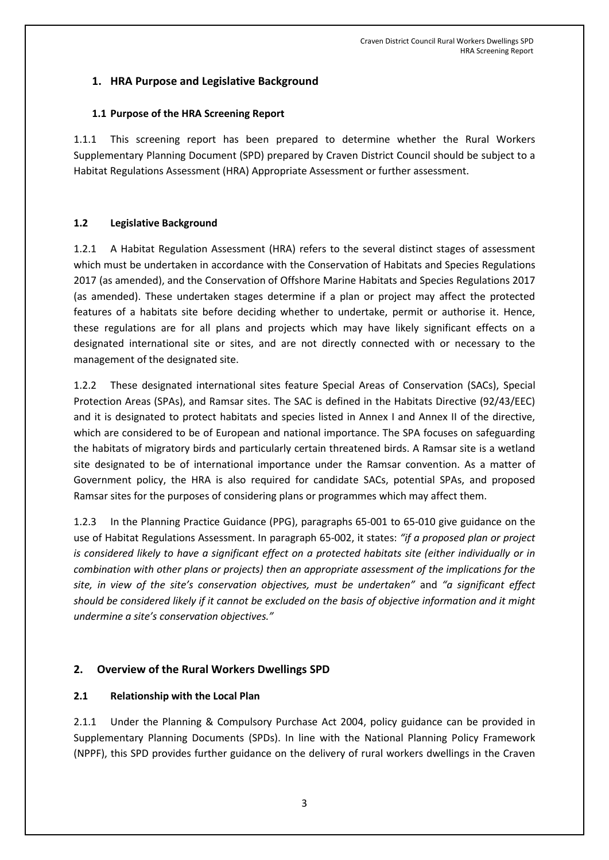# **1. HRA Purpose and Legislative Background**

## **1.1 Purpose of the HRA Screening Report**

This screening report has been prepared to determine whether the Rural Workers Supplementary Planning Document (SPD) prepared by Craven District Council should be subject to a Habitat Regulations Assessment (HRA) Appropriate Assessment or further assessment.

## **1.2 Legislative Background**

1.2.1 A Habitat Regulation Assessment (HRA) refers to the several distinct stages of assessment which must be undertaken in accordance with the Conservation of Habitats and Species Regulations 2017 (as amended), and the Conservation of Offshore Marine Habitats and Species Regulations 2017 (as amended). These undertaken stages determine if a plan or project may affect the protected features of a habitats site before deciding whether to undertake, permit or authorise it. Hence, these regulations are for all plans and projects which may have likely significant effects on a designated international site or sites, and are not directly connected with or necessary to the management of the designated site.

1.2.2 These designated international sites feature Special Areas of Conservation (SACs), Special Protection Areas (SPAs), and Ramsar sites. The SAC is defined in the Habitats Directive (92/43/EEC) and it is designated to protect habitats and species listed in Annex I and Annex II of the directive, which are considered to be of European and national importance. The SPA focuses on safeguarding the habitats of migratory birds and particularly certain threatened birds. A Ramsar site is a wetland site designated to be of international importance under the Ramsar convention. As a matter of Government policy, the HRA is also required for candidate SACs, potential SPAs, and proposed Ramsar sites for the purposes of considering plans or programmes which may affect them.

1.2.3 In the Planning Practice Guidance (PPG), paragraphs 65-001 to 65-010 give guidance on the use of Habitat Regulations Assessment. In paragraph 65-002, it states: *"if a proposed plan or project is considered likely to have a significant effect on a protected habitats site (either individually or in combination with other plans or projects) then an appropriate assessment of the implications for the site, in view of the site's conservation objectives, must be undertaken"* and *"a significant effect should be considered likely if it cannot be excluded on the basis of objective information and it might undermine a site's conservation objectives."*

## **2. Overview of the Rural Workers Dwellings SPD**

## **2.1 Relationship with the Local Plan**

2.1.1 Under the Planning & Compulsory Purchase Act 2004, policy guidance can be provided in Supplementary Planning Documents (SPDs). In line with the National Planning Policy Framework (NPPF), this SPD provides further guidance on the delivery of rural workers dwellings in the Craven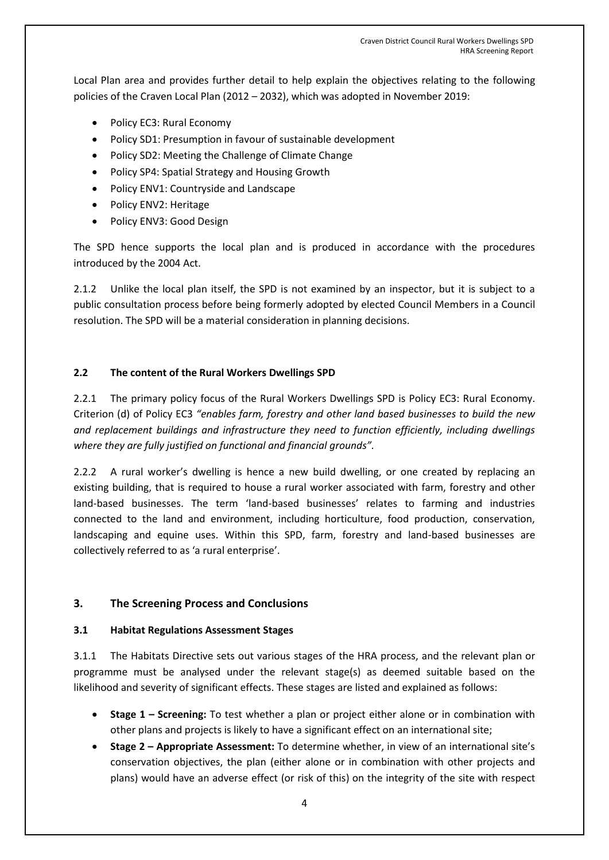Local Plan area and provides further detail to help explain the objectives relating to the following policies of the Craven Local Plan (2012 – 2032), which was adopted in November 2019:

- Policy EC3: Rural Economy
- Policy SD1: Presumption in favour of sustainable development
- Policy SD2: Meeting the Challenge of Climate Change
- Policy SP4: Spatial Strategy and Housing Growth
- Policy ENV1: Countryside and Landscape
- Policy ENV2: Heritage
- Policy ENV3: Good Design

The SPD hence supports the local plan and is produced in accordance with the procedures introduced by the 2004 Act.

2.1.2 Unlike the local plan itself, the SPD is not examined by an inspector, but it is subject to a public consultation process before being formerly adopted by elected Council Members in a Council resolution. The SPD will be a material consideration in planning decisions.

### **2.2 The content of the Rural Workers Dwellings SPD**

2.2.1 The primary policy focus of the Rural Workers Dwellings SPD is Policy EC3: Rural Economy. Criterion (d) of Policy EC3 *"enables farm, forestry and other land based businesses to build the new and replacement buildings and infrastructure they need to function efficiently, including dwellings where they are fully justified on functional and financial grounds".*

2.2.2 A rural worker's dwelling is hence a new build dwelling, or one created by replacing an existing building, that is required to house a rural worker associated with farm, forestry and other land-based businesses. The term 'land-based businesses' relates to farming and industries connected to the land and environment, including horticulture, food production, conservation, landscaping and equine uses. Within this SPD, farm, forestry and land-based businesses are collectively referred to as 'a rural enterprise'.

### **3. The Screening Process and Conclusions**

### **3.1 Habitat Regulations Assessment Stages**

3.1.1 The Habitats Directive sets out various stages of the HRA process, and the relevant plan or programme must be analysed under the relevant stage(s) as deemed suitable based on the likelihood and severity of significant effects. These stages are listed and explained as follows:

- **Stage 1 – Screening:** To test whether a plan or project either alone or in combination with other plans and projects is likely to have a significant effect on an international site;
- **Stage 2 – Appropriate Assessment:** To determine whether, in view of an international site's conservation objectives, the plan (either alone or in combination with other projects and plans) would have an adverse effect (or risk of this) on the integrity of the site with respect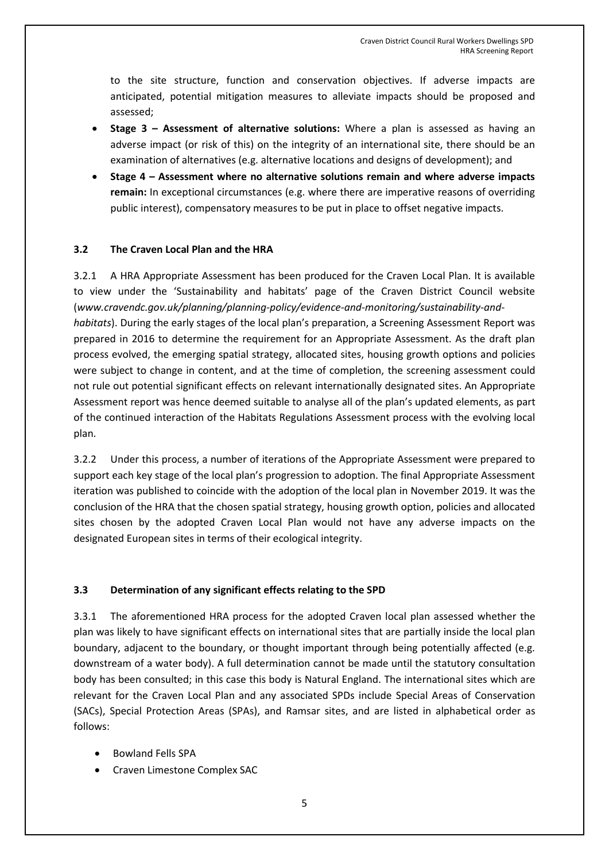to the site structure, function and conservation objectives. If adverse impacts are anticipated, potential mitigation measures to alleviate impacts should be proposed and assessed;

- **Stage 3 – Assessment of alternative solutions:** Where a plan is assessed as having an adverse impact (or risk of this) on the integrity of an international site, there should be an examination of alternatives (e.g. alternative locations and designs of development); and
- **Stage 4 – Assessment where no alternative solutions remain and where adverse impacts remain:** In exceptional circumstances (e.g. where there are imperative reasons of overriding public interest), compensatory measures to be put in place to offset negative impacts.

### **3.2 The Craven Local Plan and the HRA**

3.2.1 A HRA Appropriate Assessment has been produced for the Craven Local Plan. It is available to view under the 'Sustainability and habitats' page of the Craven District Council website (*www.cravendc.gov.uk/planning/planning-policy/evidence-and-monitoring/sustainability-andhabitats*). During the early stages of the local plan's preparation, a Screening Assessment Report was prepared in 2016 to determine the requirement for an Appropriate Assessment. As the draft plan process evolved, the emerging spatial strategy, allocated sites, housing growth options and policies were subject to change in content, and at the time of completion, the screening assessment could not rule out potential significant effects on relevant internationally designated sites. An Appropriate Assessment report was hence deemed suitable to analyse all of the plan's updated elements, as part of the continued interaction of the Habitats Regulations Assessment process with the evolving local plan.

3.2.2 Under this process, a number of iterations of the Appropriate Assessment were prepared to support each key stage of the local plan's progression to adoption. The final Appropriate Assessment iteration was published to coincide with the adoption of the local plan in November 2019. It was the conclusion of the HRA that the chosen spatial strategy, housing growth option, policies and allocated sites chosen by the adopted Craven Local Plan would not have any adverse impacts on the designated European sites in terms of their ecological integrity.

## **3.3 Determination of any significant effects relating to the SPD**

3.3.1 The aforementioned HRA process for the adopted Craven local plan assessed whether the plan was likely to have significant effects on international sites that are partially inside the local plan boundary, adjacent to the boundary, or thought important through being potentially affected (e.g. downstream of a water body). A full determination cannot be made until the statutory consultation body has been consulted; in this case this body is Natural England. The international sites which are relevant for the Craven Local Plan and any associated SPDs include Special Areas of Conservation (SACs), Special Protection Areas (SPAs), and Ramsar sites, and are listed in alphabetical order as follows:

- Bowland Fells SPA
- Craven Limestone Complex SAC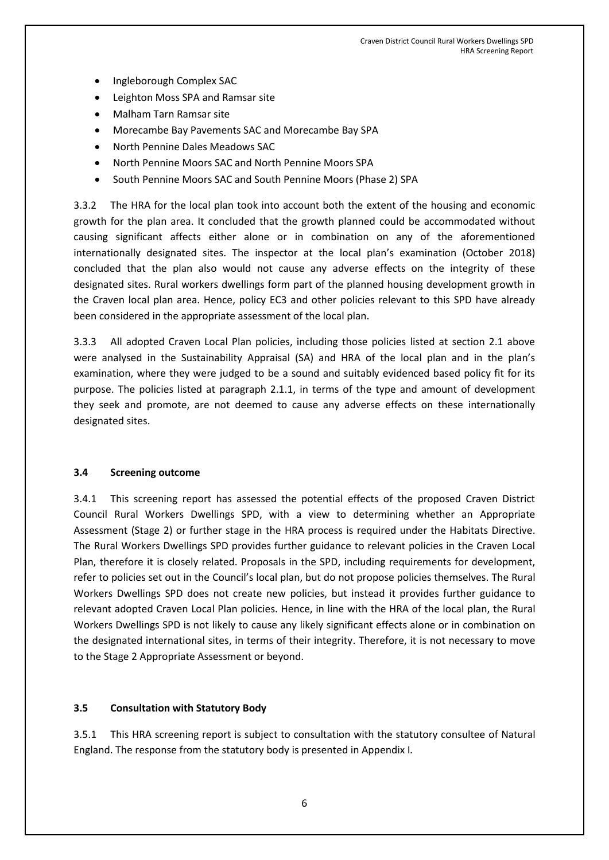- Ingleborough Complex SAC
- Leighton Moss SPA and Ramsar site
- Malham Tarn Ramsar site
- Morecambe Bay Pavements SAC and Morecambe Bay SPA
- North Pennine Dales Meadows SAC
- North Pennine Moors SAC and North Pennine Moors SPA
- South Pennine Moors SAC and South Pennine Moors (Phase 2) SPA

3.3.2 The HRA for the local plan took into account both the extent of the housing and economic growth for the plan area. It concluded that the growth planned could be accommodated without causing significant affects either alone or in combination on any of the aforementioned internationally designated sites. The inspector at the local plan's examination (October 2018) concluded that the plan also would not cause any adverse effects on the integrity of these designated sites. Rural workers dwellings form part of the planned housing development growth in the Craven local plan area. Hence, policy EC3 and other policies relevant to this SPD have already been considered in the appropriate assessment of the local plan.

3.3.3 All adopted Craven Local Plan policies, including those policies listed at section 2.1 above were analysed in the Sustainability Appraisal (SA) and HRA of the local plan and in the plan's examination, where they were judged to be a sound and suitably evidenced based policy fit for its purpose. The policies listed at paragraph 2.1.1, in terms of the type and amount of development they seek and promote, are not deemed to cause any adverse effects on these internationally designated sites.

#### **3.4 Screening outcome**

3.4.1 This screening report has assessed the potential effects of the proposed Craven District Council Rural Workers Dwellings SPD, with a view to determining whether an Appropriate Assessment (Stage 2) or further stage in the HRA process is required under the Habitats Directive. The Rural Workers Dwellings SPD provides further guidance to relevant policies in the Craven Local Plan, therefore it is closely related. Proposals in the SPD, including requirements for development, refer to policies set out in the Council's local plan, but do not propose policies themselves. The Rural Workers Dwellings SPD does not create new policies, but instead it provides further guidance to relevant adopted Craven Local Plan policies. Hence, in line with the HRA of the local plan, the Rural Workers Dwellings SPD is not likely to cause any likely significant effects alone or in combination on the designated international sites, in terms of their integrity. Therefore, it is not necessary to move to the Stage 2 Appropriate Assessment or beyond.

#### **3.5 Consultation with Statutory Body**

3.5.1 This HRA screening report is subject to consultation with the statutory consultee of Natural England. The response from the statutory body is presented in Appendix I*.*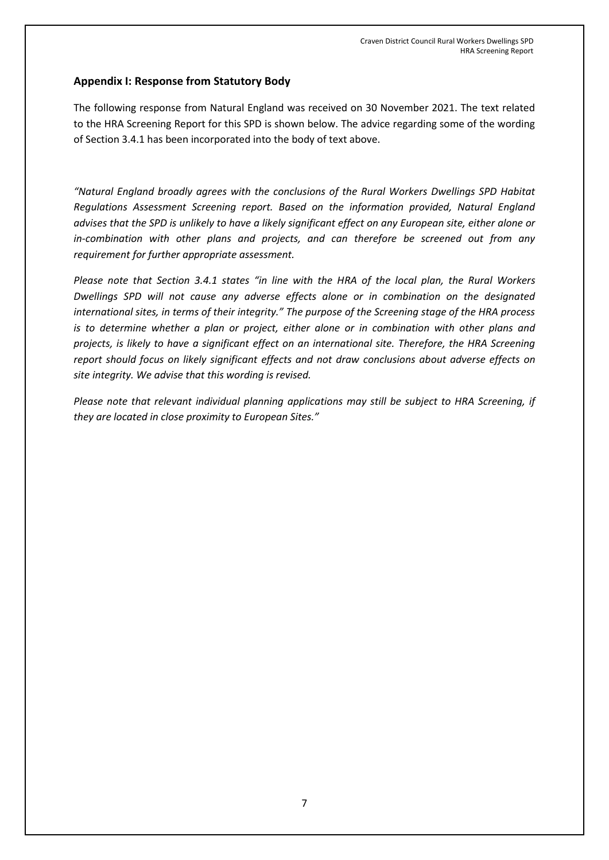# **Appendix I: Response from Statutory Body**

The following response from Natural England was received on 30 November 2021. The text related to the HRA Screening Report for this SPD is shown below. The advice regarding some of the wording of Section 3.4.1 has been incorporated into the body of text above.

*"Natural England broadly agrees with the conclusions of the Rural Workers Dwellings SPD Habitat Regulations Assessment Screening report. Based on the information provided, Natural England advises that the SPD is unlikely to have a likely significant effect on any European site, either alone or in-combination with other plans and projects, and can therefore be screened out from any requirement for further appropriate assessment.* 

*Please note that Section 3.4.1 states "in line with the HRA of the local plan, the Rural Workers Dwellings SPD will not cause any adverse effects alone or in combination on the designated international sites, in terms of their integrity." The purpose of the Screening stage of the HRA process is to determine whether a plan or project, either alone or in combination with other plans and projects, is likely to have a significant effect on an international site. Therefore, the HRA Screening report should focus on likely significant effects and not draw conclusions about adverse effects on site integrity. We advise that this wording is revised.* 

*Please note that relevant individual planning applications may still be subject to HRA Screening, if they are located in close proximity to European Sites."*